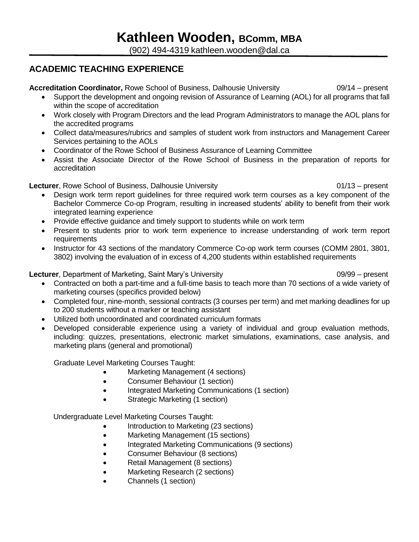(902) 494-4319 kathleen.wooden@dal.ca

### **ACADEMIC TEACHING EXPERIENCE**

#### **Accreditation Coordinator,** Rowe School of Business, Dalhousie University 09/14 – present

- Support the development and ongoing revision of Assurance of Learning (AOL) for all programs that fall within the scope of accreditation
- Work closely with Program Directors and the lead Program Administrators to manage the AOL plans for the accredited programs
- Collect data/measures/rubrics and samples of student work from instructors and Management Career Services pertaining to the AOLs
- Coordinator of the Rowe School of Business Assurance of Learning Committee
- Assist the Associate Director of the Rowe School of Business in the preparation of reports for accreditation

#### **Lecturer**, Rowe School of Business, Dalhousie University **Concretively** 01/13 – present

- Design work term report guidelines for three required work term courses as a key component of the Bachelor Commerce Co-op Program, resulting in increased students' ability to benefit from their work integrated learning experience
- Provide effective guidance and timely support to students while on work term
- Present to students prior to work term experience to increase understanding of work term report requirements
- Instructor for 43 sections of the mandatory Commerce Co-op work term courses (COMM 2801, 3801, 3802) involving the evaluation of in excess of 4,200 students within established requirements

#### **Lecturer**, Department of Marketing, Saint Mary's University **Comment Containery 1999** – present

- Contracted on both a part-time and a full-time basis to teach more than 70 sections of a wide variety of marketing courses (specifics provided below)
- Completed four, nine-month, sessional contracts (3 courses per term) and met marking deadlines for up to 200 students without a marker or teaching assistant
- Utilized both uncoordinated and coordinated curriculum formats
- Developed considerable experience using a variety of individual and group evaluation methods, including: quizzes, presentations, electronic market simulations, examinations, case analysis, and marketing plans (general and promotional)

Graduate Level Marketing Courses Taught:

- Marketing Management (4 sections)
- Consumer Behaviour (1 section)
- Integrated Marketing Communications (1 section)
- Strategic Marketing (1 section)

Undergraduate Level Marketing Courses Taught:

- Introduction to Marketing (23 sections)
- Marketing Management (15 sections)
- Integrated Marketing Communications (9 sections)
- Consumer Behaviour (8 sections)
- Retail Management (8 sections)
- Marketing Research (2 sections)
- Channels (1 section)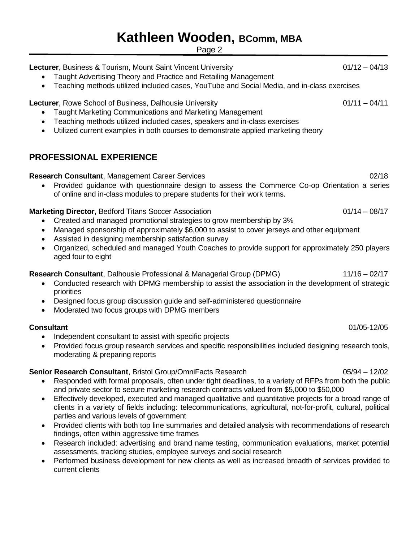Page 2

**Lecturer**, Business & Tourism, Mount Saint Vincent University **CHA COMEN 1941-1941-1941-1941-19** COMEN 1941-19

- Taught Advertising Theory and Practice and Retailing Management
- Teaching methods utilized included cases, YouTube and Social Media, and in-class exercises

**Lecturer**, Rowe School of Business, Dalhousie University **1.1 Community 1.1 Community 1.1** O1/11 – 04/11

- Taught Marketing Communications and Marketing Management
- Teaching methods utilized included cases, speakers and in-class exercises
- Utilized current examples in both courses to demonstrate applied marketing theory

### **PROFESSIONAL EXPERIENCE**

#### **Research Consultant**, Management Career Services 02/18

• Provided guidance with questionnaire design to assess the Commerce Co-op Orientation a series of online and in-class modules to prepare students for their work terms.

#### **Marketing Director, Bedford Titans Soccer Association**  $01/14 - 08/17$

- Created and managed promotional strategies to grow membership by 3%
- Managed sponsorship of approximately \$6,000 to assist to cover jerseys and other equipment
- Assisted in designing membership satisfaction survey
- Organized, scheduled and managed Youth Coaches to provide support for approximately 250 players aged four to eight

### **Research Consultant**, Dalhousie Professional & Managerial Group (DPMG) 11/16 – 02/17

- Conducted research with DPMG membership to assist the association in the development of strategic priorities
- Designed focus group discussion guide and self-administered questionnaire
- Moderated two focus groups with DPMG members

#### **Consultant** 01/05-12/05

- Independent consultant to assist with specific projects
- Provided focus group research services and specific responsibilities included designing research tools, moderating & preparing reports

#### **Senior Research Consultant**, Bristol Group/OmniFacts Research 05/94 – 12/02

- Responded with formal proposals, often under tight deadlines, to a variety of RFPs from both the public and private sector to secure marketing research contracts valued from \$5,000 to \$50,000
- Effectively developed, executed and managed qualitative and quantitative projects for a broad range of clients in a variety of fields including: telecommunications, agricultural, not-for-profit, cultural, political parties and various levels of government
- Provided clients with both top line summaries and detailed analysis with recommendations of research findings, often within aggressive time frames
- Research included: advertising and brand name testing, communication evaluations, market potential assessments, tracking studies, employee surveys and social research
- Performed business development for new clients as well as increased breadth of services provided to current clients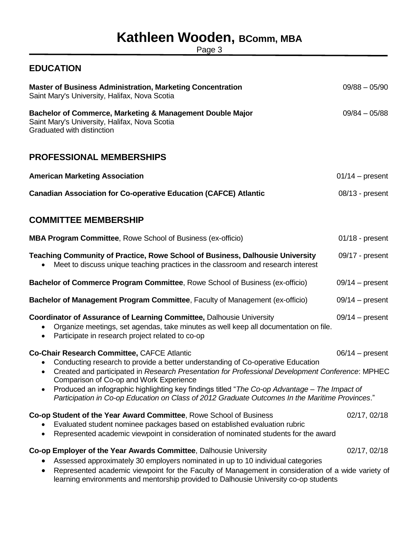Page 3

### **EDUCATION**

| <b>Master of Business Administration, Marketing Concentration</b><br>Saint Mary's University, Halifax, Nova Scotia                                                                                                                                                                                                                                                                                                                                                                | $09/88 - 05/90$   |
|-----------------------------------------------------------------------------------------------------------------------------------------------------------------------------------------------------------------------------------------------------------------------------------------------------------------------------------------------------------------------------------------------------------------------------------------------------------------------------------|-------------------|
| Bachelor of Commerce, Marketing & Management Double Major<br>Saint Mary's University, Halifax, Nova Scotia<br>Graduated with distinction                                                                                                                                                                                                                                                                                                                                          | $09/84 - 05/88$   |
| <b>PROFESSIONAL MEMBERSHIPS</b>                                                                                                                                                                                                                                                                                                                                                                                                                                                   |                   |
| <b>American Marketing Association</b>                                                                                                                                                                                                                                                                                                                                                                                                                                             | $01/14$ – present |
| <b>Canadian Association for Co-operative Education (CAFCE) Atlantic</b>                                                                                                                                                                                                                                                                                                                                                                                                           | $08/13$ - present |
| <b>COMMITTEE MEMBERSHIP</b>                                                                                                                                                                                                                                                                                                                                                                                                                                                       |                   |
| <b>MBA Program Committee, Rowe School of Business (ex-officio)</b>                                                                                                                                                                                                                                                                                                                                                                                                                | $01/18$ - present |
| <b>Teaching Community of Practice, Rowe School of Business, Dalhousie University</b><br>Meet to discuss unique teaching practices in the classroom and research interest                                                                                                                                                                                                                                                                                                          | 09/17 - present   |
| Bachelor of Commerce Program Committee, Rowe School of Business (ex-officio)                                                                                                                                                                                                                                                                                                                                                                                                      | $09/14$ – present |
| Bachelor of Management Program Committee, Faculty of Management (ex-officio)                                                                                                                                                                                                                                                                                                                                                                                                      | $09/14$ – present |
| <b>Coordinator of Assurance of Learning Committee, Dalhousie University</b><br>Organize meetings, set agendas, take minutes as well keep all documentation on file.<br>Participate in research project related to co-op<br>$\bullet$                                                                                                                                                                                                                                              | $09/14$ – present |
| Co-Chair Research Committee, CAFCE Atlantic<br>Conducting research to provide a better understanding of Co-operative Education<br>Created and participated in Research Presentation for Professional Development Conference: MPHEC<br>Comparison of Co-op and Work Experience<br>Produced an infographic highlighting key findings titled "The Co-op Advantage - The Impact of<br>Participation in Co-op Education on Class of 2012 Graduate Outcomes In the Maritime Provinces." | $06/14$ – present |
| Co-op Student of the Year Award Committee, Rowe School of Business<br>Evaluated student nominee packages based on established evaluation rubric<br>Represented academic viewpoint in consideration of nominated students for the award                                                                                                                                                                                                                                            | 02/17, 02/18      |
| Co-op Employer of the Year Awards Committee, Dalhousie University<br>Assessed approximately 30 employers nominated in up to 10 individual categories<br>Represented academic viewpoint for the Faculty of Management in consideration of a wide variety of                                                                                                                                                                                                                        | 02/17, 02/18      |

learning environments and mentorship provided to Dalhousie University co-op students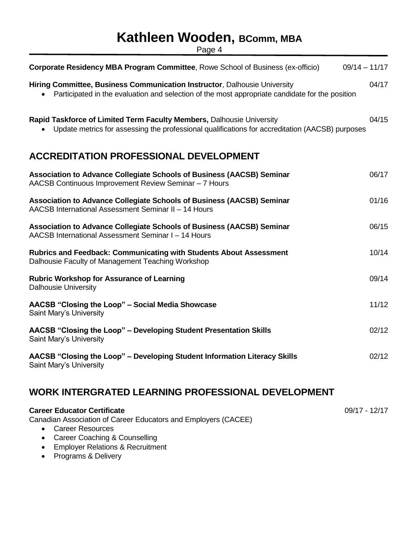Page 4

| Corporate Residency MBA Program Committee, Rowe School of Business (ex-officio)                                                                                              | $09/14 - 11/17$ |
|------------------------------------------------------------------------------------------------------------------------------------------------------------------------------|-----------------|
| Hiring Committee, Business Communication Instructor, Dalhousie University<br>Participated in the evaluation and selection of the most appropriate candidate for the position | 04/17           |
| Rapid Taskforce of Limited Term Faculty Members, Dalhousie University<br>Update metrics for assessing the professional qualifications for accreditation (AACSB) purposes     | 04/15           |
| <b>ACCREDITATION PROFESSIONAL DEVELOPMENT</b>                                                                                                                                |                 |
| Association to Advance Collegiate Schools of Business (AACSB) Seminar<br>AACSB Continuous Improvement Review Seminar - 7 Hours                                               | 06/17           |
| Association to Advance Collegiate Schools of Business (AACSB) Seminar<br>AACSB International Assessment Seminar II - 14 Hours                                                | 01/16           |
| Association to Advance Collegiate Schools of Business (AACSB) Seminar<br>AACSB International Assessment Seminar I - 14 Hours                                                 | 06/15           |
| <b>Rubrics and Feedback: Communicating with Students About Assessment</b><br>Dalhousie Faculty of Management Teaching Workshop                                               | 10/14           |
| <b>Rubric Workshop for Assurance of Learning</b><br><b>Dalhousie University</b>                                                                                              | 09/14           |
| AACSB "Closing the Loop" - Social Media Showcase<br>Saint Mary's University                                                                                                  | 11/12           |
| AACSB "Closing the Loop" - Developing Student Presentation Skills<br>Saint Mary's University                                                                                 | 02/12           |
| AACSB "Closing the Loop" - Developing Student Information Literacy Skills<br>Saint Mary's University                                                                         | 02/12           |

## **WORK INTERGRATED LEARNING PROFESSIONAL DEVELOPMENT**

| <b>Career Educator Certificate</b>                             | $09/17 - 12/17$ |
|----------------------------------------------------------------|-----------------|
| Canadian Association of Career Educators and Employers (CACEE) |                 |

- [Career Resources](http://www.cacee.com/cgi/page.cgi/_evtcal.html?evt=893)
- [Career Coaching & Counselling](http://www.cacee.com/cgi/page.cgi/_evtcal.html?evt=894)
- [Employer Relations & Recruitment](http://www.cacee.com/cgi/page.cgi/_evtcal.html?evt=895)
- [Programs & Delivery](http://www.cacee.com/cgi/page.cgi/_evtcal.html?evt=896)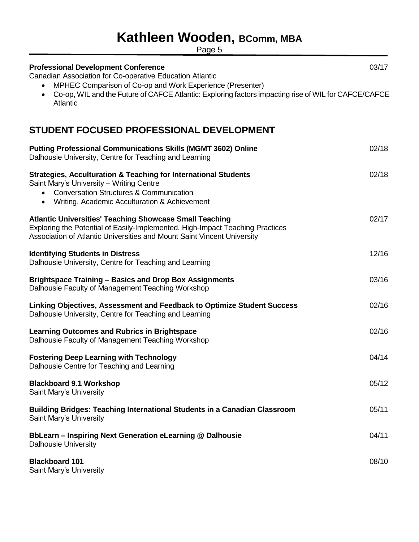Page 5

| <b>Professional Development Conference</b><br>Canadian Association for Co-operative Education Atlantic<br>MPHEC Comparison of Co-op and Work Experience (Presenter)                                                                          | 03/17 |
|----------------------------------------------------------------------------------------------------------------------------------------------------------------------------------------------------------------------------------------------|-------|
| Co-op, WIL and the Future of CAFCE Atlantic: Exploring factors impacting rise of WIL for CAFCE/CAFCE<br>$\bullet$<br>Atlantic                                                                                                                |       |
| STUDENT FOCUSED PROFESSIONAL DEVELOPMENT                                                                                                                                                                                                     |       |
| <b>Putting Professional Communications Skills (MGMT 3602) Online</b><br>Dalhousie University, Centre for Teaching and Learning                                                                                                               | 02/18 |
| <b>Strategies, Acculturation &amp; Teaching for International Students</b><br>Saint Mary's University - Writing Centre<br><b>Conversation Structures &amp; Communication</b><br>$\bullet$<br>• Writing, Academic Acculturation & Achievement | 02/18 |
| <b>Atlantic Universities' Teaching Showcase Small Teaching</b><br>Exploring the Potential of Easily-Implemented, High-Impact Teaching Practices<br>Association of Atlantic Universities and Mount Saint Vincent University                   | 02/17 |
| <b>Identifying Students in Distress</b><br>Dalhousie University, Centre for Teaching and Learning                                                                                                                                            | 12/16 |
| <b>Brightspace Training - Basics and Drop Box Assignments</b><br>Dalhousie Faculty of Management Teaching Workshop                                                                                                                           | 03/16 |
| Linking Objectives, Assessment and Feedback to Optimize Student Success<br>Dalhousie University, Centre for Teaching and Learning                                                                                                            | 02/16 |
| <b>Learning Outcomes and Rubrics in Brightspace</b><br>Dalhousie Faculty of Management Teaching Workshop                                                                                                                                     | 02/16 |
| <b>Fostering Deep Learning with Technology</b><br>Dalhousie Centre for Teaching and Learning                                                                                                                                                 | 04/14 |
| <b>Blackboard 9.1 Workshop</b><br>Saint Mary's University                                                                                                                                                                                    | 05/12 |
| <b>Building Bridges: Teaching International Students in a Canadian Classroom</b><br>Saint Mary's University                                                                                                                                  | 05/11 |
| BbLearn - Inspiring Next Generation eLearning @ Dalhousie<br><b>Dalhousie University</b>                                                                                                                                                     | 04/11 |
| <b>Blackboard 101</b><br>Saint Mary's University                                                                                                                                                                                             | 08/10 |